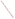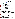## **THE ENVIRONMENTAL TECHNOLOGY VERIFICATION**







# **ETV Joint Verification Statement**

|                                        | TECHNOLOGY TYPE: PORTABLE EMISSION ANALYZER                          |                       |                              |
|----------------------------------------|----------------------------------------------------------------------|-----------------------|------------------------------|
| <b>APPLICATION:</b>                    | DETERMINING NITROGEN OXIDES EMISSIONS                                |                       |                              |
|                                        | <b>TECHNOLOGY NAME: LANCOM Series II Portable Emissions Analyzer</b> |                       |                              |
| <b>COMPANY:</b>                        | <b>Land Combustion</b>                                               |                       |                              |
| <b>ADDRESS:</b>                        | <b>10 Friends Lane</b><br>Newtown, PA 18940                          | <b>PHONE:</b><br>FAX: | 215-504-8000<br>215-504-1346 |
| <b>WEB SITE:</b><br>$E\text{-}{MAIL$ : | http://www.landinst.com<br>sales@land-combustion.com                 |                       |                              |

The U.S. Environmental Protection Agency (EPA) has created the Environmental Technology Verification (ETV) Program to facilitate the deployment of innovative or improved environmental technologies through performance verification and dissemination of information. The goal of the ETV Program is to further environmental protection by substantially accelerating the acceptance and use of improved and cost-effective technologies. ETV seeks to achieve this goal by providing high quality, peer reviewed data on technology performance to those involved in the design, distribution, financing, permitting, purchase, and use of environmental technologies.

ETV works in partnership with recognized standards and testing organizations; stakeholder groups which consist of buyers, vendor organizations, and permitters; and with the full participation of individual technology developers. The program evaluates the performance of innovative technologies by developing test plans that are responsive to the needs of stakeholders, conducting field or laboratory tests (as appropriate), collecting and analyzing data, and preparing peer reviewed reports. All evaluations are conducted in accordance with rigorous quality assurance protocols to ensure that data of known and adequate quality are generated and that the results are defensible.

The Advanced Monitoring Systems (AMS) Center, one of 12 technology areas under ETV, is operated by Battelle in cooperation with EPA's National Exposure Research Laboratory. AMS has recently evaluated the performance of portable nitrogen oxides monitors used to determine emissions from combustion sources. This verification statement provides a summary of the test results for the Land LANCOM Series II Portable Emission Analyzer.

## **VERIFICATION TEST DESCRIPTION**

The verification test described in this report was one of a series of tests conducted in April and May 2000 on commercial portable nitrogen oxides analyzers at Battelle's facilities in Columbus, Ohio. Verification testing of the analyzers involved (1) a series of laboratory tests in which certified NO and  $NO<sub>2</sub>$  standards were used to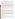challenge the analyzers over a wide concentration range and (2) tests using realistic combustion sources, in which data from the portable analyzers undergoing testing were compared to simultaneous measurements of NO and NO<sub>x</sub> obtained with two chemiluminescent analyzers.

Verification testing lasted three to four days, of which two days were required for laboratory testing and the remainder for source emissions testing. To assess inter-unit variability, two identical analyzers were tested simultaneously in all tests, and results from the two analyzers were kept separate. The analyzers were operated at all times by a representative of Land and supervised at all times by Battelle staff.

Verification testing focused on measurement of NO and  $NO_2$ , the sum of which is denoted as  $NO_x$ . Laboratory testing included a linearity test over the entire nominal ranges of the analyzers for both NO and  $NO<sub>2</sub>$ ; estimation of detection limits and response times; interference testing; assessment of sample pressure and ambient temperature effects on analyzer response; and evaluation of zero and span drift during the various laboratory tests. Tests with combustion sources assessed the accuracy of  $NO$ ,  $NO<sub>2</sub>$ , and  $NO<sub>x</sub>$  measurements, relative to the chemiluminescent NO/NO<sub>y</sub> approach that is the basis of EPA Method 7E. Sources used in the testing were a gas-fired rangetop burner, a gas-fired water heater, and a diesel-powered electrical generator operated at both idle and at high RPM. These sources produced  $NO<sub>x</sub>$  emissions ranging from less than 10 to about 350 ppm. Zero and span drift resulting from exposure to source emissions were assessed, and analyzer stability was monitored during one hour of uninterrupted sampling of diesel emissions.

Quality assurance (QA) oversight of verification testing was provided by Battelle. Battelle independent QA staff conducted a technical systems audit, a performance evaluation audit, and a data quality audit of 10% of the test data. Battelle testing staff conducted a performance evaluation audit, which was reviewed by independent QA staff.

### **TECHNOLOGY DESCRIPTION**

The LANCOM Series II weighs 13.2 pounds, has the dimensions of a standard laptop computer, and measures up to seven flue gases  $(O_2, NO, NO_2, CO$  (low),  $CO$  (high),  $SO_2$ , and hydrocarbons). Analyzer options include semi-continuous monitoring (pre-determined timed sampling intervals), printing, data logging (1,000 records), and serial communications, plus various probe lengths. All gas measurements can be stored, downloaded, or printed. The LANCOM Series II offers on-board diagnostics, accessible filters and water catchpot, and a "semicontinuous" operating mode. It provides ppm conversions (mg/m<sup>3</sup>, lb/mBTU. etc.), oxygen normalization, and total  $NO<sub>x</sub>$ , on a wet or dry basis.

The LANCOM Series II systems components are mounted on molded PVC and sheathed in corrosion-resistant plastic. The analyzer can be operated when worn on a shoulder strap or free-standing on the ground. All controls are on the top of the instrument. The batteries are mounted at the bottom of the case, which provides enhanced stability when the instrument is on the floor. The large capacity water catchpot is mounted on the side of the instrument on a hinged assembly. The particulate and chemical filters are also mounted on the side of the instrument. All measured parameters and operator interface are displayed on a full function alphanumeric/graphic liquid crystal display. The LANCOM Series II contains two 6V batteries capable of powering the instrument for eight hours in the field.

### **VERIFICATION OF PERFORMANCE**

**Linearity:** The Land Combustion LANCOM Series II analyzers provided linear response for NO and NO<sub>2</sub> over the tested ranges of 0 to 2,000 ppm and 0 to 512 ppm, respectively. One of the LANCOM units did exhibit a slightly low response to  $NO<sub>2</sub>$  above about 250 ppm, perhaps as a result of an older sensor used in that unit.

**Detection Limit:** Detection limits estimated from these wide-range linearity tests were about 2.5 ppm for NO and 1.5 to 2.3 ppm for  $NO<sub>2</sub>$ .